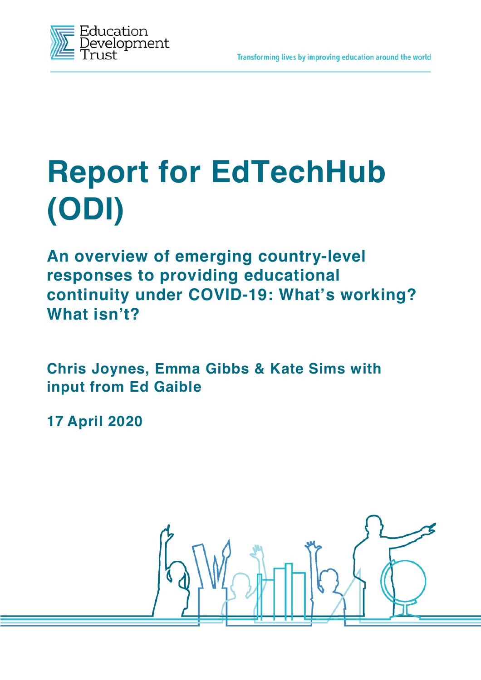

# **Report for EdTechHub (ODI)**

**An overview of emerging country-level responses to providing educational continuity under COVID-19: What's working? What isn't?**

**Chris Joynes, Emma Gibbs & Kate Sims with input from Ed Gaible**

**17 April 2020**

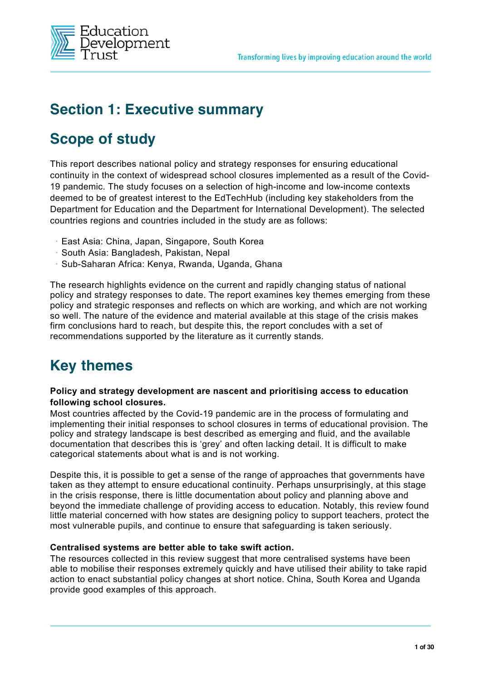

## **Section 1: Executive summary**

# **Scope of study**

This report describes national policy and strategy responses for ensuring educational continuity in the context of widespread school closures implemented as a result of the Covid-19 pandemic. The study focuses on a selection of high-income and low-income contexts deemed to be of greatest interest to the EdTechHub (including key stakeholders from the Department for Education and the Department for International Development). The selected countries regions and countries included in the study are as follows:

- **•** East Asia: China, Japan, Singapore, South Korea
- **•** South Asia: Bangladesh, Pakistan, Nepal
- **•** Sub-Saharan Africa: Kenya, Rwanda, Uganda, Ghana

The research highlights evidence on the current and rapidly changing status of national policy and strategy responses to date. The report examines key themes emerging from these policy and strategic responses and reflects on which are working, and which are not working so well. The nature of the evidence and material available at this stage of the crisis makes firm conclusions hard to reach, but despite this, the report concludes with a set of recommendations supported by the literature as it currently stands.

# **Key themes**

#### **Policy and strategy development are nascent and prioritising access to education following school closures.**

Most countries affected by the Covid-19 pandemic are in the process of formulating and implementing their initial responses to school closures in terms of educational provision. The policy and strategy landscape is best described as emerging and fluid, and the available documentation that describes this is 'grey' and often lacking detail. It is difficult to make categorical statements about what is and is not working.

Despite this, it is possible to get a sense of the range of approaches that governments have taken as they attempt to ensure educational continuity. Perhaps unsurprisingly, at this stage in the crisis response, there is little documentation about policy and planning above and beyond the immediate challenge of providing access to education. Notably, this review found little material concerned with how states are designing policy to support teachers, protect the most vulnerable pupils, and continue to ensure that safeguarding is taken seriously.

#### **Centralised systems are better able to take swift action.**

The resources collected in this review suggest that more centralised systems have been able to mobilise their responses extremely quickly and have utilised their ability to take rapid action to enact substantial policy changes at short notice. China, South Korea and Uganda provide good examples of this approach.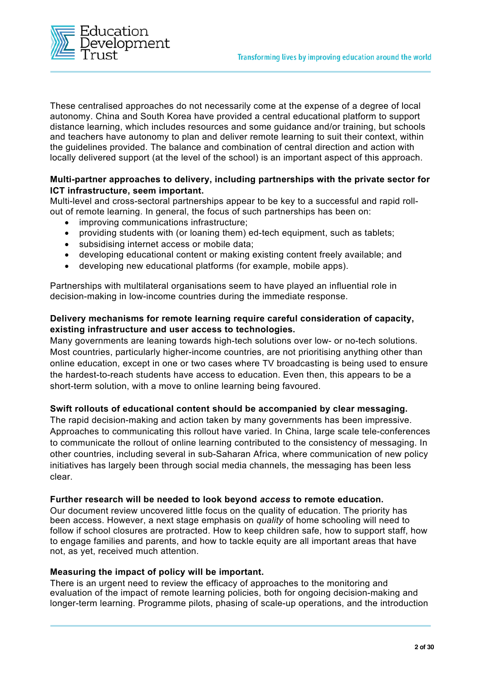

These centralised approaches do not necessarily come at the expense of a degree of local autonomy. China and South Korea have provided a central educational platform to support distance learning, which includes resources and some guidance and/or training, but schools and teachers have autonomy to plan and deliver remote learning to suit their context, within the guidelines provided. The balance and combination of central direction and action with locally delivered support (at the level of the school) is an important aspect of this approach.

#### **Multi-partner approaches to delivery, including partnerships with the private sector for ICT infrastructure, seem important.**

Multi-level and cross-sectoral partnerships appear to be key to a successful and rapid rollout of remote learning. In general, the focus of such partnerships has been on:

- improving communications infrastructure;
- providing students with (or loaning them) ed-tech equipment, such as tablets;
- subsidising internet access or mobile data;
- developing educational content or making existing content freely available; and
- developing new educational platforms (for example, mobile apps).

Partnerships with multilateral organisations seem to have played an influential role in decision-making in low-income countries during the immediate response.

#### **Delivery mechanisms for remote learning require careful consideration of capacity, existing infrastructure and user access to technologies.**

Many governments are leaning towards high-tech solutions over low- or no-tech solutions. Most countries, particularly higher-income countries, are not prioritising anything other than online education, except in one or two cases where TV broadcasting is being used to ensure the hardest-to-reach students have access to education. Even then, this appears to be a short-term solution, with a move to online learning being favoured.

#### **Swift rollouts of educational content should be accompanied by clear messaging.**

The rapid decision-making and action taken by many governments has been impressive. Approaches to communicating this rollout have varied. In China, large scale tele-conferences to communicate the rollout of online learning contributed to the consistency of messaging. In other countries, including several in sub-Saharan Africa, where communication of new policy initiatives has largely been through social media channels, the messaging has been less clear.

#### **Further research will be needed to look beyond** *access* **to remote education.**

Our document review uncovered little focus on the quality of education. The priority has been access. However, a next stage emphasis on *quality* of home schooling will need to follow if school closures are protracted. How to keep children safe, how to support staff, how to engage families and parents, and how to tackle equity are all important areas that have not, as yet, received much attention.

#### **Measuring the impact of policy will be important.**

There is an urgent need to review the efficacy of approaches to the monitoring and evaluation of the impact of remote learning policies, both for ongoing decision-making and longer-term learning. Programme pilots, phasing of scale-up operations, and the introduction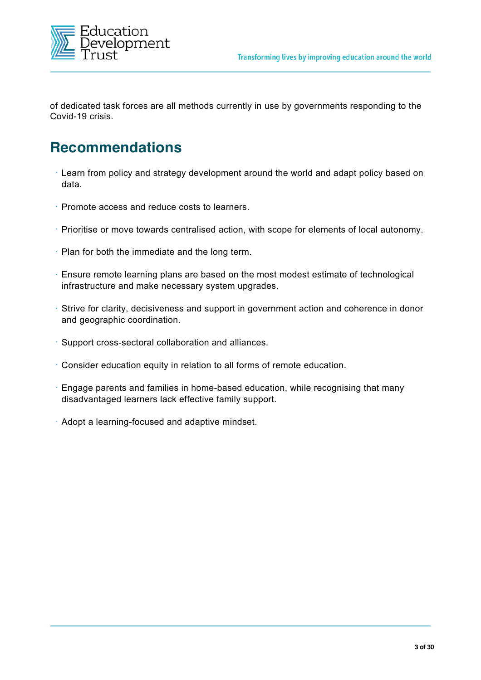

of dedicated task forces are all methods currently in use by governments responding to the Covid-19 crisis.

## **Recommendations**

- **•** Learn from policy and strategy development around the world and adapt policy based on data.
- **•** Promote access and reduce costs to learners.
- **•** Prioritise or move towards centralised action, with scope for elements of local autonomy.
- **•** Plan for both the immediate and the long term.
- **•** Ensure remote learning plans are based on the most modest estimate of technological infrastructure and make necessary system upgrades.
- **•** Strive for clarity, decisiveness and support in government action and coherence in donor and geographic coordination.
- **•** Support cross-sectoral collaboration and alliances.
- **•** Consider education equity in relation to all forms of remote education.
- **•** Engage parents and families in home-based education, while recognising that many disadvantaged learners lack effective family support.
- **•** Adopt a learning-focused and adaptive mindset.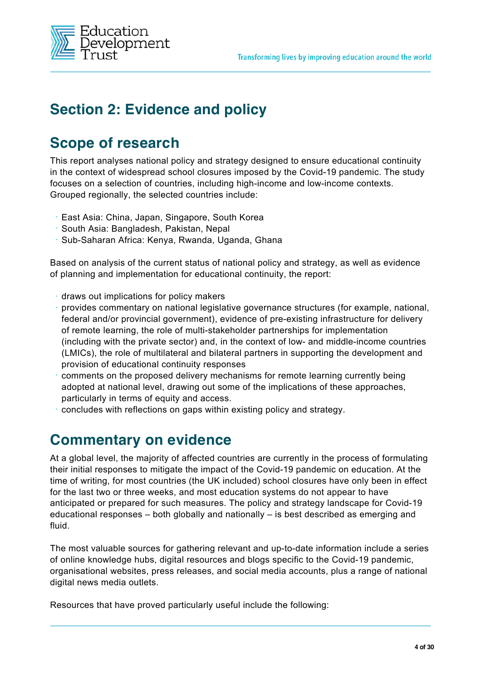

# **Section 2: Evidence and policy**

## **Scope of research**

This report analyses national policy and strategy designed to ensure educational continuity in the context of widespread school closures imposed by the Covid-19 pandemic. The study focuses on a selection of countries, including high-income and low-income contexts. Grouped regionally, the selected countries include:

- **•** East Asia: China, Japan, Singapore, South Korea
- **•** South Asia: Bangladesh, Pakistan, Nepal
- **•** Sub-Saharan Africa: Kenya, Rwanda, Uganda, Ghana

Based on analysis of the current status of national policy and strategy, as well as evidence of planning and implementation for educational continuity, the report:

- **•** draws out implications for policy makers
- **•** provides commentary on national legislative governance structures (for example, national, federal and/or provincial government), evidence of pre-existing infrastructure for delivery of remote learning, the role of multi-stakeholder partnerships for implementation (including with the private sector) and, in the context of low- and middle-income countries (LMICs), the role of multilateral and bilateral partners in supporting the development and provision of educational continuity responses
- **•** comments on the proposed delivery mechanisms for remote learning currently being adopted at national level, drawing out some of the implications of these approaches, particularly in terms of equity and access.
- **•** concludes with reflections on gaps within existing policy and strategy.

## **Commentary on evidence**

At a global level, the majority of affected countries are currently in the process of formulating their initial responses to mitigate the impact of the Covid-19 pandemic on education. At the time of writing, for most countries (the UK included) school closures have only been in effect for the last two or three weeks, and most education systems do not appear to have anticipated or prepared for such measures. The policy and strategy landscape for Covid-19 educational responses – both globally and nationally – is best described as emerging and fluid.

The most valuable sources for gathering relevant and up-to-date information include a series of online knowledge hubs, digital resources and blogs specific to the Covid-19 pandemic, organisational websites, press releases, and social media accounts, plus a range of national digital news media outlets.

Resources that have proved particularly useful include the following: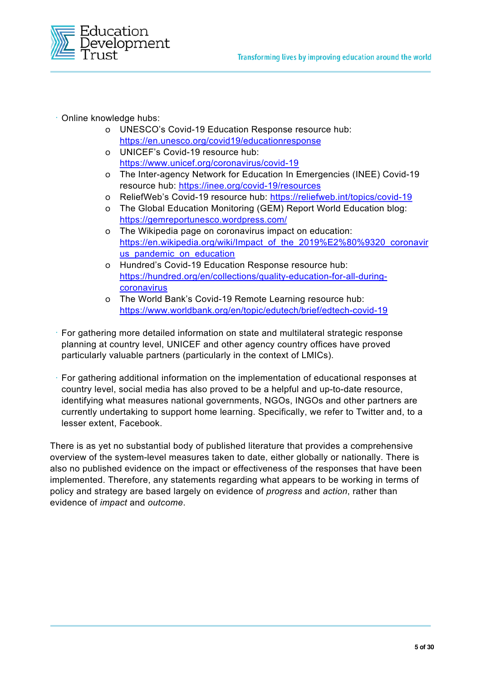

- **•** Online knowledge hubs:
	- o UNESCO's Covid-19 Education Response resource hub: https://en.unesco.org/covid19/educationresponse
	- o UNICEF's Covid-19 resource hub: https://www.unicef.org/coronavirus/covid-19
	- o The Inter-agency Network for Education In Emergencies (INEE) Covid-19 resource hub: https://inee.org/covid-19/resources
	- o ReliefWeb's Covid-19 resource hub: https://reliefweb.int/topics/covid-19
	- o The Global Education Monitoring (GEM) Report World Education blog: https://gemreportunesco.wordpress.com/
	- o The Wikipedia page on coronavirus impact on education: https://en.wikipedia.org/wiki/Impact\_of\_the\_2019%E2%80%9320\_coronavir us\_pandemic\_on\_education
	- o Hundred's Covid-19 Education Response resource hub: https://hundred.org/en/collections/quality-education-for-all-duringcoronavirus
	- o The World Bank's Covid-19 Remote Learning resource hub: https://www.worldbank.org/en/topic/edutech/brief/edtech-covid-19
- **•** For gathering more detailed information on state and multilateral strategic response planning at country level, UNICEF and other agency country offices have proved particularly valuable partners (particularly in the context of LMICs).
- **•** For gathering additional information on the implementation of educational responses at country level, social media has also proved to be a helpful and up-to-date resource, identifying what measures national governments, NGOs, INGOs and other partners are currently undertaking to support home learning. Specifically, we refer to Twitter and, to a lesser extent, Facebook.

There is as yet no substantial body of published literature that provides a comprehensive overview of the system-level measures taken to date, either globally or nationally. There is also no published evidence on the impact or effectiveness of the responses that have been implemented. Therefore, any statements regarding what appears to be working in terms of policy and strategy are based largely on evidence of *progress* and *action*, rather than evidence of *impact* and *outcome*.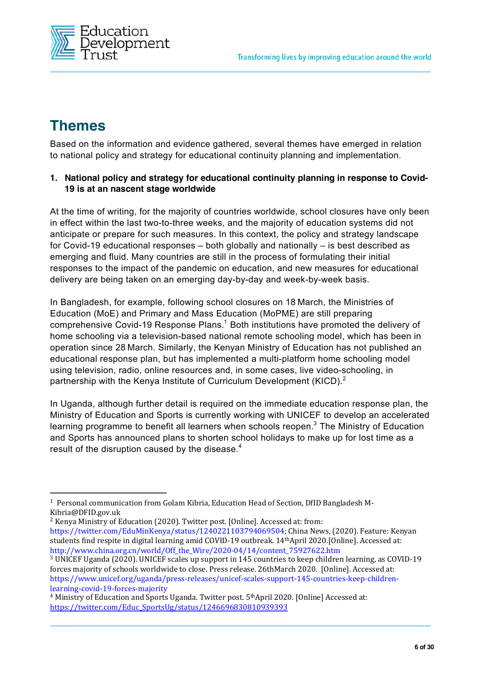

# **Themes**

Based on the information and evidence gathered, several themes have emerged in relation to national policy and strategy for educational continuity planning and implementation.

#### **1. National policy and strategy for educational continuity planning in response to Covid-19 is at an nascent stage worldwide**

At the time of writing, for the majority of countries worldwide, school closures have only been in effect within the last two-to-three weeks, and the majority of education systems did not anticipate or prepare for such measures. In this context, the policy and strategy landscape for Covid-19 educational responses – both globally and nationally – is best described as emerging and fluid. Many countries are still in the process of formulating their initial responses to the impact of the pandemic on education, and new measures for educational delivery are being taken on an emerging day-by-day and week-by-week basis.

In Bangladesh, for example, following school closures on 18 March, the Ministries of Education (MoE) and Primary and Mass Education (MoPME) are still preparing comprehensive Covid-19 Response Plans.<sup>1</sup> Both institutions have promoted the delivery of home schooling via a television-based national remote schooling model, which has been in operation since 28 March. Similarly, the Kenyan Ministry of Education has not published an educational response plan, but has implemented a multi-platform home schooling model using television, radio, online resources and, in some cases, live video-schooling, in partnership with the Kenya Institute of Curriculum Development (KICD).<sup>2</sup>

In Uganda, although further detail is required on the immediate education response plan, the Ministry of Education and Sports is currently working with UNICEF to develop an accelerated learning programme to benefit all learners when schools reopen.<sup>3</sup> The Ministry of Education and Sports has announced plans to shorten school holidays to make up for lost time as a result of the disruption caused by the disease.<sup>4</sup>

<sup>1</sup> Personal communication from Golam Kibria, Education Head of Section, DfID Bangladesh M-Kibria@DFID.gov.uk

<sup>2</sup> Kenya Ministry of Education (2020). Twitter post. [Online]. Accessed at: from: https://twitter.com/EduMinKenya/status/1240221103794069504; China News, (2020). Feature: Kenyan students find respite in digital learning amid COVID-19 outbreak. 14thApril 2020.[Online]. Accessed at: http://www.china.org.cn/world/Off\_the\_Wire/2020-04/14/content\_75927622.htm

<sup>3</sup> UNICEF Uganda (2020). UNICEF scales up support in 145 countries to keep children learning, as COVID-19 forces majority of schools worldwide to close. Press release. 26thMarch 2020. [Online]. Accessed at: https://www.unicef.org/uganda/press-releases/unicef-scales-support-145-countries-keep-childrenlearning-covid-19-forces-majority

 $4$  Ministry of Education and Sports Uganda. Twitter post.  $5<sup>th</sup>$ April 2020. [Online] Accessed at: https://twitter.com/Educ\_SportsUg/status/1246696830810939393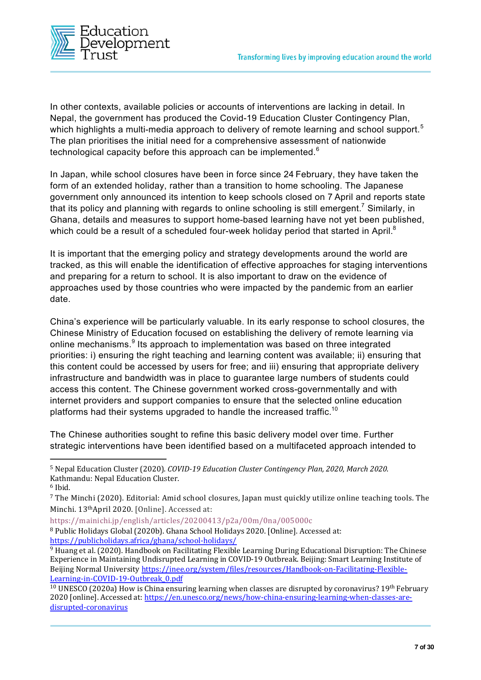

In other contexts, available policies or accounts of interventions are lacking in detail. In Nepal, the government has produced the Covid-19 Education Cluster Contingency Plan, which highlights a multi-media approach to delivery of remote learning and school support.<sup>5</sup> The plan prioritises the initial need for a comprehensive assessment of nationwide technological capacity before this approach can be implemented.<sup>6</sup>

In Japan, while school closures have been in force since 24 February, they have taken the form of an extended holiday, rather than a transition to home schooling. The Japanese government only announced its intention to keep schools closed on 7 April and reports state that its policy and planning with regards to online schooling is still emergent.<sup>7</sup> Similarly, in Ghana, details and measures to support home-based learning have not yet been published, which could be a result of a scheduled four-week holiday period that started in April.<sup>8</sup>

It is important that the emerging policy and strategy developments around the world are tracked, as this will enable the identification of effective approaches for staging interventions and preparing for a return to school. It is also important to draw on the evidence of approaches used by those countries who were impacted by the pandemic from an earlier date.

China's experience will be particularly valuable. In its early response to school closures, the Chinese Ministry of Education focused on establishing the delivery of remote learning via online mechanisms.<sup>9</sup> Its approach to implementation was based on three integrated priorities: i) ensuring the right teaching and learning content was available; ii) ensuring that this content could be accessed by users for free; and iii) ensuring that appropriate delivery infrastructure and bandwidth was in place to guarantee large numbers of students could access this content. The Chinese government worked cross-governmentally and with internet providers and support companies to ensure that the selected online education platforms had their systems upgraded to handle the increased traffic.<sup>10</sup>

The Chinese authorities sought to refine this basic delivery model over time. Further strategic interventions have been identified based on a multifaceted approach intended to

https://mainichi.jp/english/articles/20200413/p2a/00m/0na/005000c

<sup>5</sup> Nepal Education Cluster (2020). *COVID-19 Education Cluster Contingency Plan, 2020*, *March 2020*. Kathmandu: Nepal Education Cluster.

 $6$  Ibid.

<sup>7</sup> The Minchi (2020). Editorial: Amid school closures, Japan must quickly utilize online teaching tools. The Minchi. 13thApril 2020. [Online]. Accessed at:

<sup>8</sup> Public Holidays Global (2020b). Ghana School Holidays 2020. [Online]. Accessed at: https://publicholidays.africa/ghana/school-holidays/

<sup>9</sup> Huang et al. (2020). Handbook on Facilitating Flexible Learning During Educational Disruption: The Chinese Experience in Maintaining Undisrupted Learning in COVID-19 Outbreak. Beijing: Smart Learning Institute of Beijing Normal University https://inee.org/system/files/resources/Handbook-on-Facilitating-Flexible-Learning-in-COVID-19-Outbreak\_0.pdf<br><sup>10</sup> UNESCO (2020a) How is China ensuring learning when classes are disrupted by coronavirus? 19<sup>th</sup> February

<sup>2020 [</sup>online]. Accessed at: https://en.unesco.org/news/how-china-ensuring-learning-when-classes-aredisrupted-coronavirus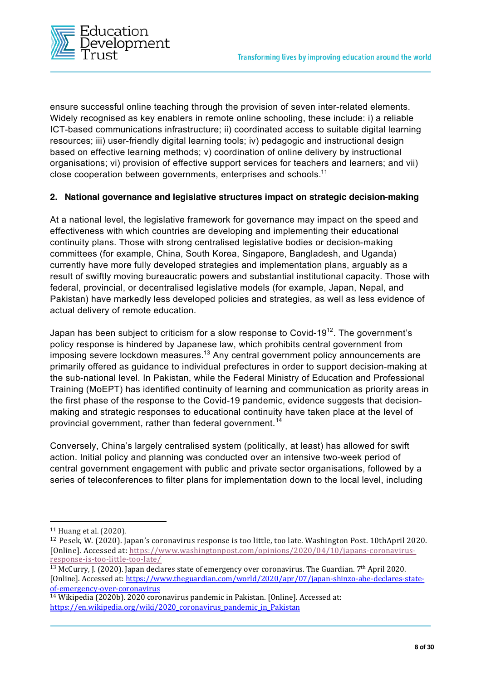

ensure successful online teaching through the provision of seven inter-related elements. Widely recognised as key enablers in remote online schooling, these include: i) a reliable ICT-based communications infrastructure; ii) coordinated access to suitable digital learning resources; iii) user-friendly digital learning tools; iv) pedagogic and instructional design based on effective learning methods; v) coordination of online delivery by instructional organisations; vi) provision of effective support services for teachers and learners; and vii) close cooperation between governments, enterprises and schools.<sup>11</sup>

#### **2. National governance and legislative structures impact on strategic decision-making**

At a national level, the legislative framework for governance may impact on the speed and effectiveness with which countries are developing and implementing their educational continuity plans. Those with strong centralised legislative bodies or decision-making committees (for example, China, South Korea, Singapore, Bangladesh, and Uganda) currently have more fully developed strategies and implementation plans, arguably as a result of swiftly moving bureaucratic powers and substantial institutional capacity. Those with federal, provincial, or decentralised legislative models (for example, Japan, Nepal, and Pakistan) have markedly less developed policies and strategies, as well as less evidence of actual delivery of remote education.

Japan has been subject to criticism for a slow response to Covid-19 $^{12}$ . The government's policy response is hindered by Japanese law, which prohibits central government from imposing severe lockdown measures.<sup>13</sup> Any central government policy announcements are primarily offered as guidance to individual prefectures in order to support decision-making at the sub-national level. In Pakistan, while the Federal Ministry of Education and Professional Training (MoEPT) has identified continuity of learning and communication as priority areas in the first phase of the response to the Covid-19 pandemic, evidence suggests that decisionmaking and strategic responses to educational continuity have taken place at the level of provincial government, rather than federal government.<sup>14</sup>

Conversely, China's largely centralised system (politically, at least) has allowed for swift action. Initial policy and planning was conducted over an intensive two-week period of central government engagement with public and private sector organisations, followed by a series of teleconferences to filter plans for implementation down to the local level, including

<sup>11</sup> Huang et al. (2020).

<sup>12</sup> Pesek, W. (2020). Japan's coronavirus response is too little, too late. Washington Post. 10thApril 2020. [Online]. Accessed at: https://www.washingtonpost.com/opinions/2020/04/10/japans-coronavirusresponse-is-too-little-too-late/

<sup>&</sup>lt;sup>13</sup> McCurry, J. (2020). Japan declares state of emergency over coronavirus. The Guardian. 7<sup>th</sup> April 2020. [Online]. Accessed at: https://www.theguardian.com/world/2020/apr/07/japan-shinzo-abe-declares-stateof-emergency-over-coronavirus

<sup>14</sup> Wikipedia (2020b). 2020 coronavirus pandemic in Pakistan. [Online]. Accessed at: https://en.wikipedia.org/wiki/2020\_coronavirus\_pandemic\_in\_Pakistan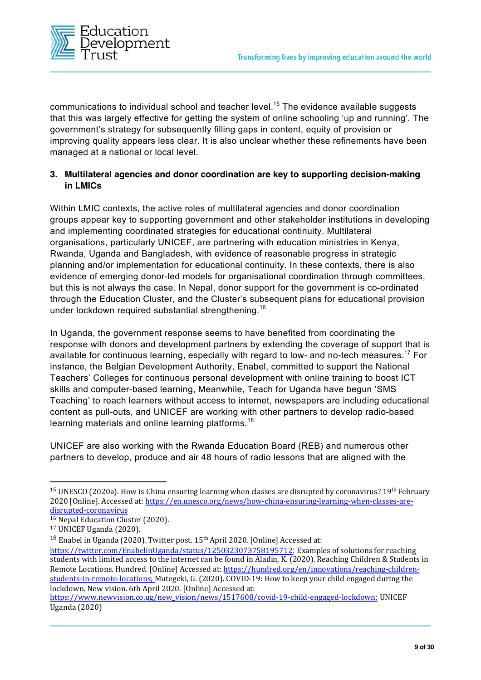

communications to individual school and teacher level.<sup>15</sup> The evidence available suggests that this was largely effective for getting the system of online schooling 'up and running'. The government's strategy for subsequently filling gaps in content, equity of provision or improving quality appears less clear. It is also unclear whether these refinements have been managed at a national or local level.

#### **3. Multilateral agencies and donor coordination are key to supporting decision-making in LMICs**

Within LMIC contexts, the active roles of multilateral agencies and donor coordination groups appear key to supporting government and other stakeholder institutions in developing and implementing coordinated strategies for educational continuity. Multilateral organisations, particularly UNICEF, are partnering with education ministries in Kenya, Rwanda, Uganda and Bangladesh, with evidence of reasonable progress in strategic planning and/or implementation for educational continuity. In these contexts, there is also evidence of emerging donor-led models for organisational coordination through committees, but this is not always the case. In Nepal, donor support for the government is co-ordinated through the Education Cluster, and the Cluster's subsequent plans for educational provision under lockdown required substantial strengthening.<sup>16</sup>

In Uganda, the government response seems to have benefited from coordinating the response with donors and development partners by extending the coverage of support that is available for continuous learning, especially with regard to low- and no-tech measures.<sup>17</sup> For instance, the Belgian Development Authority, Enabel, committed to support the National Teachers' Colleges for continuous personal development with online training to boost ICT skills and computer-based learning, Meanwhile, Teach for Uganda have begun 'SMS Teaching' to reach learners without access to internet, newspapers are including educational content as pull-outs, and UNICEF are working with other partners to develop radio-based learning materials and online learning platforms.<sup>18</sup>

UNICEF are also working with the Rwanda Education Board (REB) and numerous other partners to develop, produce and air 48 hours of radio lessons that are aligned with the

<sup>&</sup>lt;sup>15</sup> UNESCO (2020a). How is China ensuring learning when classes are disrupted by coronavirus? 19<sup>th</sup> February 2020 [Online]. Accessed at: https://en.unesco.org/news/how-china-ensuring-learning-when-classes-aredisrupted-coronavirus

<sup>&</sup>lt;sup>16</sup> Nepal Education Cluster (2020).

<sup>17</sup> UNICEF Uganda (2020).

<sup>&</sup>lt;sup>18</sup> Enabel in Uganda (2020). Twitter post. 15<sup>th</sup> April 2020. [Online] Accessed at:

https://twitter.com/EnabelinUganda/status/1250323073758195712; Examples of solutions for reaching students with limited access to the internet can be found in Aladin, K. (2020). Reaching Children & Students in Remote Locations. Hundred. [Online] Accessed at: https://hundred.org/en/innovations/reaching-childrenstudents-in-remote-locations; Mutegeki, G. (2020). COVID-19: How to keep your child engaged during the lockdown. New vision. 6th April 2020. [Online] Accessed at:

https://www.newvision.co.ug/new\_vision/news/1517608/covid-19-child-engaged-lockdown; UNICEF Uganda (2020)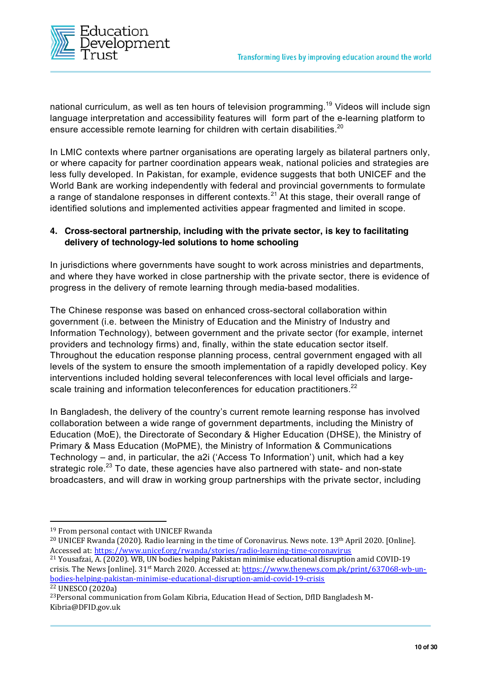

national curriculum, as well as ten hours of television programming.<sup>19</sup> Videos will include sign language interpretation and accessibility features will form part of the e-learning platform to ensure accessible remote learning for children with certain disabilities.<sup>20</sup>

In LMIC contexts where partner organisations are operating largely as bilateral partners only, or where capacity for partner coordination appears weak, national policies and strategies are less fully developed. In Pakistan, for example, evidence suggests that both UNICEF and the World Bank are working independently with federal and provincial governments to formulate a range of standalone responses in different contexts.<sup>21</sup> At this stage, their overall range of identified solutions and implemented activities appear fragmented and limited in scope.

#### **4. Cross-sectoral partnership, including with the private sector, is key to facilitating delivery of technology-led solutions to home schooling**

In jurisdictions where governments have sought to work across ministries and departments, and where they have worked in close partnership with the private sector, there is evidence of progress in the delivery of remote learning through media-based modalities.

The Chinese response was based on enhanced cross-sectoral collaboration within government (i.e. between the Ministry of Education and the Ministry of Industry and Information Technology), between government and the private sector (for example, internet providers and technology firms) and, finally, within the state education sector itself. Throughout the education response planning process, central government engaged with all levels of the system to ensure the smooth implementation of a rapidly developed policy. Key interventions included holding several teleconferences with local level officials and largescale training and information teleconferences for education practitioners.<sup>22</sup>

In Bangladesh, the delivery of the country's current remote learning response has involved collaboration between a wide range of government departments, including the Ministry of Education (MoE), the Directorate of Secondary & Higher Education (DHSE), the Ministry of Primary & Mass Education (MoPME), the Ministry of Information & Communications Technology – and, in particular, the a2i ('Access To Information') unit, which had a key strategic role.<sup>23</sup> To date, these agencies have also partnered with state- and non-state broadcasters, and will draw in working group partnerships with the private sector, including

<sup>&</sup>lt;sup>19</sup> From personal contact with UNICEF Rwanda

<sup>&</sup>lt;sup>20</sup> UNICEF Rwanda (2020). Radio learning in the time of Coronavirus. News note. 13<sup>th</sup> April 2020. [Online]. Accessed at: https://www.unicef.org/rwanda/stories/radio-learning-time-coronavirus

<sup>21</sup> Yousafzai, A. (2020). WB, UN bodies helping Pakistan minimise educational disruption amid COVID-19 crisis. The News [online]. 31st March 2020. Accessed at: https://www.thenews.com.pk/print/637068-wb-unbodies-helping-pakistan-minimise-educational-disruption-amid-covid-19-crisis <sup>22</sup> UNESCO (2020a)

<sup>23</sup>Personal communication from Golam Kibria, Education Head of Section, DfID Bangladesh M-Kibria@DFID.gov.uk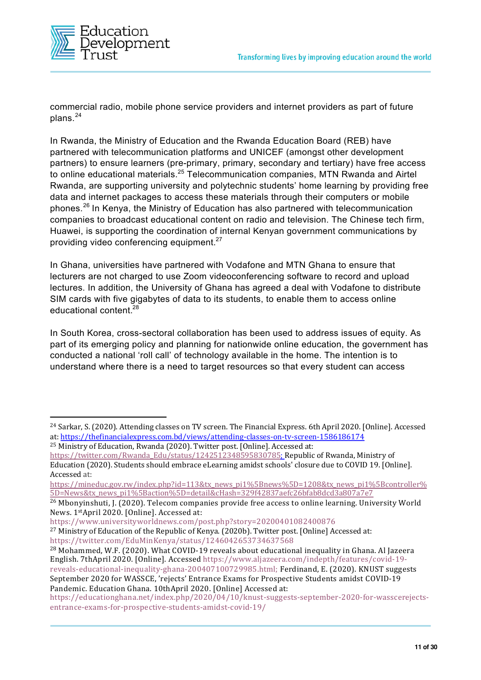

commercial radio, mobile phone service providers and internet providers as part of future plans. 24

In Rwanda, the Ministry of Education and the Rwanda Education Board (REB) have partnered with telecommunication platforms and UNICEF (amongst other development partners) to ensure learners (pre-primary, primary, secondary and tertiary) have free access to online educational materials.<sup>25</sup> Telecommunication companies, MTN Rwanda and Airtel Rwanda, are supporting university and polytechnic students' home learning by providing free data and internet packages to access these materials through their computers or mobile phones.<sup>26</sup> In Kenya, the Ministry of Education has also partnered with telecommunication companies to broadcast educational content on radio and television. The Chinese tech firm, Huawei, is supporting the coordination of internal Kenyan government communications by providing video conferencing equipment.<sup>27</sup>

In Ghana, universities have partnered with Vodafone and MTN Ghana to ensure that lecturers are not charged to use Zoom videoconferencing software to record and upload lectures. In addition, the University of Ghana has agreed a deal with Vodafone to distribute SIM cards with five gigabytes of data to its students, to enable them to access online educational content.28

In South Korea, cross-sectoral collaboration has been used to address issues of equity. As part of its emerging policy and planning for nationwide online education, the government has conducted a national 'roll call' of technology available in the home. The intention is to understand where there is a need to target resources so that every student can access

https://www.universityworldnews.com/post.php?story=20200401082400876

<sup>24</sup> Sarkar, S. (2020). Attending classes on TV screen. The Financial Express. 6th April 2020. [Online]. Accessed at: https://thefinancialexpress.com.bd/views/attending-classes-on-tv-screen-1586186174 <sup>25</sup> Ministry of Education, Rwanda (2020). Twitter post. [Online]. Accessed at:

https://twitter.com/Rwanda\_Edu/status/1242512348595830785; Republic of Rwanda, Ministry of Education (2020). Students should embrace eLearning amidst schools' closure due to COVID 19. [Online]. Accessed at:

https://mineduc.gov.rw/index.php?id=113&tx\_news\_pi1%5Bnews%5D=1208&tx\_news\_pi1%5Bcontroller% 5D=News&tx\_news\_pi1%5Baction%5D=detail&cHash=329f42837aefc26bfab8dcd3a807a7e7

<sup>&</sup>lt;sup>26</sup> Mbonyinshuti, J. (2020). Telecom companies provide free access to online learning. University World News. 1stApril 2020. [Online]. Accessed at:

<sup>&</sup>lt;sup>27</sup> Ministry of Education of the Republic of Kenya. (2020b). Twitter post. [Online] Accessed at: https://twitter.com/EduMinKenya/status/1246042653734637568

<sup>28</sup> Mohammed, W.F. (2020). What COVID-19 reveals about educational inequality in Ghana. Al Jazeera English. 7thApril 2020. [Online]. Accessed https://www.aljazeera.com/indepth/features/covid-19 reveals-educational-inequality-ghana-200407100729985.html; Ferdinand, E. (2020). KNUST suggests September 2020 for WASSCE, 'rejects' Entrance Exams for Prospective Students amidst COVID-19 Pandemic. Education Ghana. 10thApril 2020. [Online] Accessed at:

https://educationghana.net/index.php/2020/04/10/knust-suggests-september-2020-for-wasscerejectsentrance-exams-for-prospective-students-amidst-covid-19/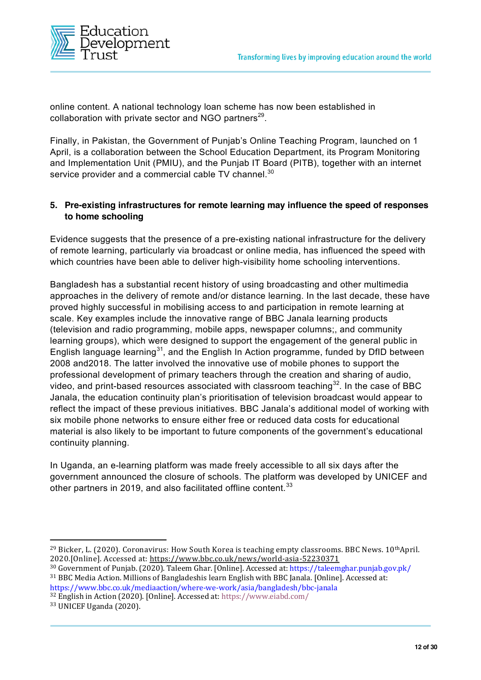

online content. A national technology loan scheme has now been established in collaboration with private sector and NGO partners<sup>29</sup>.

Finally, in Pakistan, the Government of Punjab's Online Teaching Program, launched on 1 April, is a collaboration between the School Education Department, its Program Monitoring and Implementation Unit (PMIU), and the Punjab IT Board (PITB), together with an internet service provider and a commercial cable TV channel.<sup>30</sup>

#### **5. Pre-existing infrastructures for remote learning may influence the speed of responses to home schooling**

Evidence suggests that the presence of a pre-existing national infrastructure for the delivery of remote learning, particularly via broadcast or online media, has influenced the speed with which countries have been able to deliver high-visibility home schooling interventions.

Bangladesh has a substantial recent history of using broadcasting and other multimedia approaches in the delivery of remote and/or distance learning. In the last decade, these have proved highly successful in mobilising access to and participation in remote learning at scale. Key examples include the innovative range of BBC Janala learning products (television and radio programming, mobile apps, newspaper columns;, and community learning groups), which were designed to support the engagement of the general public in English language learning<sup>31</sup>, and the English In Action programme, funded by DfID between 2008 and2018. The latter involved the innovative use of mobile phones to support the professional development of primary teachers through the creation and sharing of audio, video, and print-based resources associated with classroom teaching<sup>32</sup>. In the case of BBC Janala, the education continuity plan's prioritisation of television broadcast would appear to reflect the impact of these previous initiatives. BBC Janala's additional model of working with six mobile phone networks to ensure either free or reduced data costs for educational material is also likely to be important to future components of the government's educational continuity planning.

In Uganda, an e-learning platform was made freely accessible to all six days after the government announced the closure of schools. The platform was developed by UNICEF and other partners in 2019, and also facilitated offline content.<sup>33</sup>

<sup>&</sup>lt;sup>29</sup> Bicker, L. (2020). Coronavirus: How South Korea is teaching empty classrooms. BBC News. 10<sup>th</sup>April. 2020.[Online]. Accessed at: https://www.bbc.co.uk/news/world-asia-52230371

<sup>30</sup> Government of Punjab. (2020). Taleem Ghar. [Online]. Accessed at: https://taleemghar.punjab.gov.pk/ <sup>31</sup> BBC Media Action. Millions of Bangladeshis learn English with BBC Janala. [Online]. Accessed at: https://www.bbc.co.uk/mediaaction/where-we-work/asia/bangladesh/bbc-janala

<sup>32</sup> English in Action (2020). [Online]. Accessed at: https://www.eiabd.com/

<sup>33</sup> UNICEF Uganda (2020).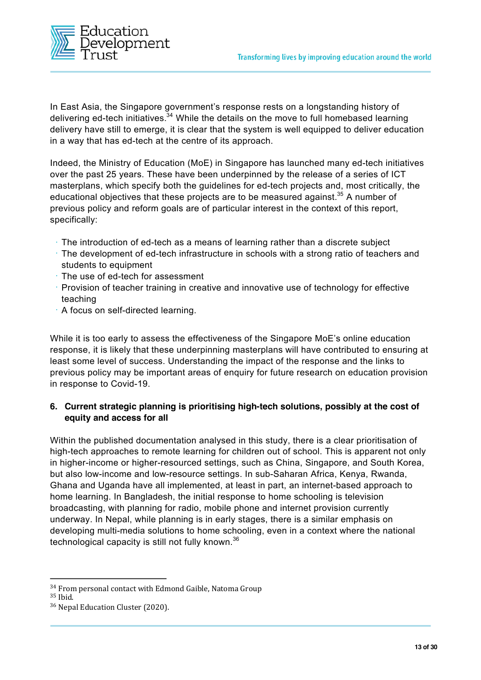

In East Asia, the Singapore government's response rests on a longstanding history of delivering ed-tech initiatives.<sup>34</sup> While the details on the move to full homebased learning delivery have still to emerge, it is clear that the system is well equipped to deliver education in a way that has ed-tech at the centre of its approach.

Indeed, the Ministry of Education (MoE) in Singapore has launched many ed-tech initiatives over the past 25 years. These have been underpinned by the release of a series of ICT masterplans, which specify both the guidelines for ed-tech projects and, most critically, the educational objectives that these projects are to be measured against.<sup>35</sup> A number of previous policy and reform goals are of particular interest in the context of this report, specifically:

- **•** The introduction of ed-tech as a means of learning rather than a discrete subject
- **•** The development of ed-tech infrastructure in schools with a strong ratio of teachers and students to equipment
- **•** The use of ed-tech for assessment
- **•** Provision of teacher training in creative and innovative use of technology for effective teaching
- **•** A focus on self-directed learning.

While it is too early to assess the effectiveness of the Singapore MoE's online education response, it is likely that these underpinning masterplans will have contributed to ensuring at least some level of success. Understanding the impact of the response and the links to previous policy may be important areas of enquiry for future research on education provision in response to Covid-19.

#### **6. Current strategic planning is prioritising high-tech solutions, possibly at the cost of equity and access for all**

Within the published documentation analysed in this study, there is a clear prioritisation of high-tech approaches to remote learning for children out of school. This is apparent not only in higher-income or higher-resourced settings, such as China, Singapore, and South Korea, but also low-income and low-resource settings. In sub-Saharan Africa, Kenya, Rwanda, Ghana and Uganda have all implemented, at least in part, an internet-based approach to home learning. In Bangladesh, the initial response to home schooling is television broadcasting, with planning for radio, mobile phone and internet provision currently underway. In Nepal, while planning is in early stages, there is a similar emphasis on developing multi-media solutions to home schooling, even in a context where the national technological capacity is still not fully known.<sup>36</sup>

<sup>34</sup> From personal contact with Edmond Gaible, Natoma Group

<sup>35</sup> Ibid.

<sup>36</sup> Nepal Education Cluster (2020).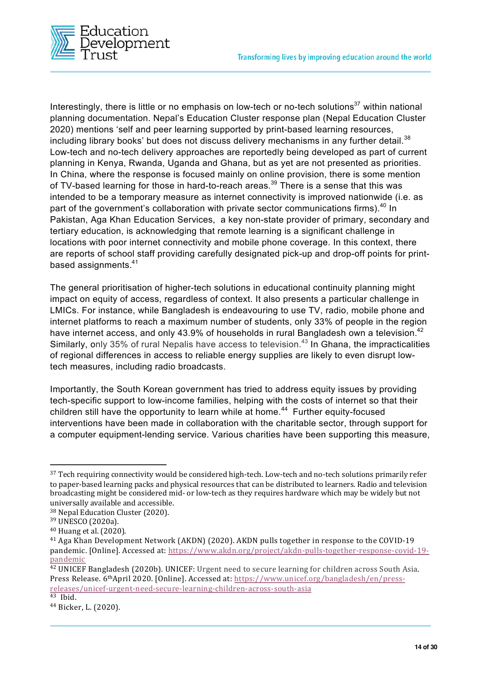

Interestingly, there is little or no emphasis on low-tech or no-tech solutions<sup>37</sup> within national planning documentation. Nepal's Education Cluster response plan (Nepal Education Cluster 2020) mentions 'self and peer learning supported by print-based learning resources, including library books' but does not discuss delivery mechanisms in any further detail.<sup>38</sup> Low-tech and no-tech delivery approaches are reportedly being developed as part of current planning in Kenya, Rwanda, Uganda and Ghana, but as yet are not presented as priorities. In China, where the response is focused mainly on online provision, there is some mention of TV-based learning for those in hard-to-reach areas.<sup>39</sup> There is a sense that this was intended to be a temporary measure as internet connectivity is improved nationwide (i.e. as part of the government's collaboration with private sector communications firms).<sup>40</sup> In Pakistan, Aga Khan Education Services, a key non-state provider of primary, secondary and tertiary education, is acknowledging that remote learning is a significant challenge in locations with poor internet connectivity and mobile phone coverage. In this context, there are reports of school staff providing carefully designated pick-up and drop-off points for printbased assignments.<sup>41</sup>

The general prioritisation of higher-tech solutions in educational continuity planning might impact on equity of access, regardless of context. It also presents a particular challenge in LMICs. For instance, while Bangladesh is endeavouring to use TV, radio, mobile phone and internet platforms to reach a maximum number of students, only 33% of people in the region have internet access, and only 43.9% of households in rural Bangladesh own a television.<sup>42</sup> Similarly, only 35% of rural Nepalis have access to television.<sup>43</sup> In Ghana, the impracticalities of regional differences in access to reliable energy supplies are likely to even disrupt lowtech measures, including radio broadcasts.

Importantly, the South Korean government has tried to address equity issues by providing tech-specific support to low-income families, helping with the costs of internet so that their children still have the opportunity to learn while at home.<sup>44</sup> Further equity-focused interventions have been made in collaboration with the charitable sector, through support for a computer equipment-lending service. Various charities have been supporting this measure,

<sup>&</sup>lt;sup>37</sup> Tech requiring connectivity would be considered high-tech. Low-tech and no-tech solutions primarily refer to paper-based learning packs and physical resources that can be distributed to learners. Radio and television broadcasting might be considered mid- or low-tech as they requires hardware which may be widely but not universally available and accessible.

<sup>38</sup> Nepal Education Cluster (2020).

<sup>39</sup> UNESCO (2020a).

<sup>40</sup> Huang et al. (2020).

<sup>41</sup> Aga Khan Development Network (AKDN) (2020). AKDN pulls together in response to the COVID-19 pandemic. [Online]. Accessed at: https://www.akdn.org/project/akdn-pulls-together-response-covid-19 pandemic

<sup>42</sup> UNICEF Bangladesh (2020b). UNICEF: Urgent need to secure learning for children across South Asia. Press Release. 6thApril 2020. [Online]. Accessed at: https://www.unicef.org/bangladesh/en/pressreleases/unicef-urgent-need-secure-learning-children-across-south-asia

 $43$  Ibid.

<sup>44</sup> Bicker, L. (2020).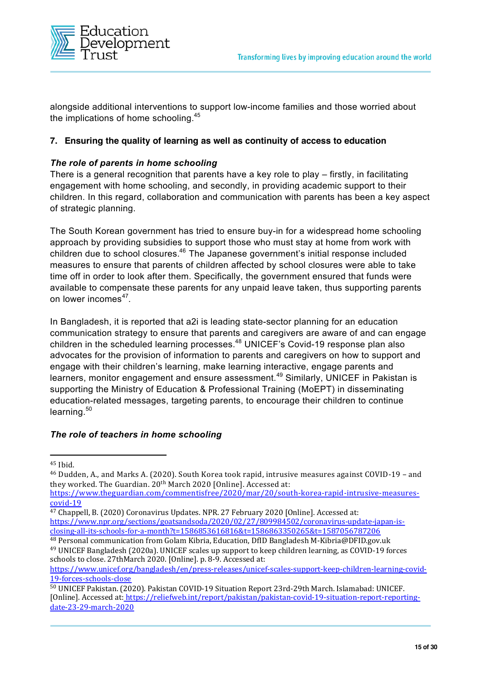

alongside additional interventions to support low-income families and those worried about the implications of home schooling.<sup>45</sup>

#### **7. Ensuring the quality of learning as well as continuity of access to education**

#### *The role of parents in home schooling*

There is a general recognition that parents have a key role to play – firstly, in facilitating engagement with home schooling, and secondly, in providing academic support to their children. In this regard, collaboration and communication with parents has been a key aspect of strategic planning.

The South Korean government has tried to ensure buy-in for a widespread home schooling approach by providing subsidies to support those who must stay at home from work with children due to school closures.46 The Japanese government's initial response included measures to ensure that parents of children affected by school closures were able to take time off in order to look after them. Specifically, the government ensured that funds were available to compensate these parents for any unpaid leave taken, thus supporting parents on lower incomes<sup>47</sup>.

In Bangladesh, it is reported that a2i is leading state-sector planning for an education communication strategy to ensure that parents and caregivers are aware of and can engage children in the scheduled learning processes. <sup>48</sup> UNICEF's Covid-19 response plan also advocates for the provision of information to parents and caregivers on how to support and engage with their children's learning, make learning interactive, engage parents and learners, monitor engagement and ensure assessment.<sup>49</sup> Similarly, UNICEF in Pakistan is supporting the Ministry of Education & Professional Training (MoEPT) in disseminating education-related messages, targeting parents, to encourage their children to continue learning.<sup>50</sup>

#### *The role of teachers in home schooling*

<sup>45</sup> Ibid.

<sup>46</sup> Dudden, A., and Marks A. (2020). South Korea took rapid, intrusive measures against COVID-19 – and they worked. The Guardian. 20<sup>th</sup> March 2020 [Online]. Accessed at:

https://www.theguardian.com/commentisfree/2020/mar/20/south-korea-rapid-intrusive-measurescovid-19

<sup>47</sup> Chappell, B. (2020) Coronavirus Updates. NPR. 27 February 2020 [Online]. Accessed at: https://www.npr.org/sections/goatsandsoda/2020/02/27/809984502/coronavirus-update-japan-isclosing-all-its-schools-for-a-month?t=1586853616816&t=1586863350265&t=1587056787206

<sup>48</sup> Personal communication from Golam Kibria, Education, DfID Bangladesh M-Kibria@DFID.gov.uk <sup>49</sup> UNICEF Bangladesh (2020a). UNICEF scales up support to keep children learning, as COVID-19 forces schools to close. 27thMarch 2020. [Online]. p. 8-9. Accessed at:

https://www.unicef.org/bangladesh/en/press-releases/unicef-scales-support-keep-children-learning-covid-19-forces-schools-close

<sup>50</sup> UNICEF Pakistan. (2020). Pakistan COVID-19 Situation Report 23rd-29th March. Islamabad: UNICEF. [Online]. Accessed at: https://reliefweb.int/report/pakistan/pakistan-covid-19-situation-report-reportingdate-23-29-march-2020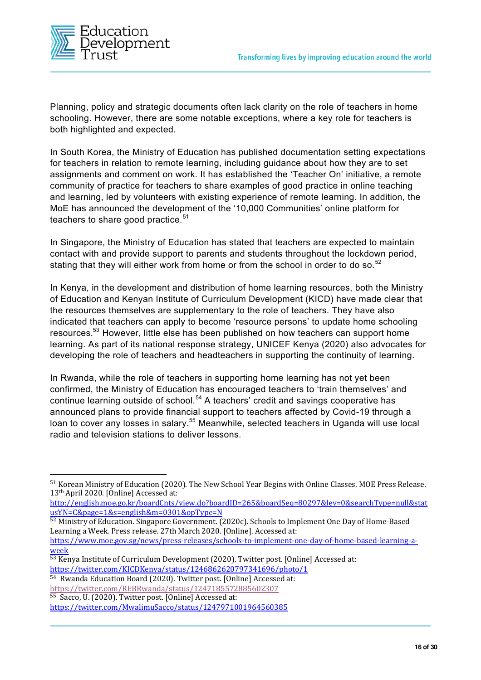

Planning, policy and strategic documents often lack clarity on the role of teachers in home schooling. However, there are some notable exceptions, where a key role for teachers is both highlighted and expected.

In South Korea, the Ministry of Education has published documentation setting expectations for teachers in relation to remote learning, including guidance about how they are to set assignments and comment on work. It has established the 'Teacher On' initiative, a remote community of practice for teachers to share examples of good practice in online teaching and learning, led by volunteers with existing experience of remote learning. In addition, the MoE has announced the development of the '10,000 Communities' online platform for teachers to share good practice. $51$ 

In Singapore, the Ministry of Education has stated that teachers are expected to maintain contact with and provide support to parents and students throughout the lockdown period, stating that they will either work from home or from the school in order to do so.<sup>52</sup>

In Kenya, in the development and distribution of home learning resources, both the Ministry of Education and Kenyan Institute of Curriculum Development (KICD) have made clear that the resources themselves are supplementary to the role of teachers. They have also indicated that teachers can apply to become 'resource persons' to update home schooling resources.<sup>53</sup> However, little else has been published on how teachers can support home learning. As part of its national response strategy, UNICEF Kenya (2020) also advocates for developing the role of teachers and headteachers in supporting the continuity of learning.

In Rwanda, while the role of teachers in supporting home learning has not yet been confirmed, the Ministry of Education has encouraged teachers to 'train themselves' and continue learning outside of school.<sup>54</sup> A teachers' credit and savings cooperative has announced plans to provide financial support to teachers affected by Covid-19 through a loan to cover any losses in salary.<sup>55</sup> Meanwhile, selected teachers in Uganda will use local radio and television stations to deliver lessons.

http://english.moe.go.kr/boardCnts/view.do?boardID=265&boardSeq=80297&lev=0&searchType=null&stat usYN=C&page=1&s=english&m=0301&opType=N 52 Ministry of Education. Singapore Government. (2020c). Schools to Implement One Day of Home-Based

Learning a Week. Press release. 27th March 2020. [Online]. Accessed at:

https://www.moe.gov.sg/news/press-releases/schools-to-implement-one-day-of-home-based-learning-aweek

<sup>53</sup> Kenva Institute of Curriculum Development (2020). Twitter post. [Online] Accessed at: https://twitter.com/KICDKenya/status/1246862620797341696/photo/1

54 Rwanda Education Board (2020). Twitter post. [Online] Accessed at: https://twitter.com/REBRwanda/status/1247185572885602307 <sup>55</sup> Sacco, U. (2020). Twitter post. [Online] Accessed at:

https://twitter.com/MwalimuSacco/status/1247971001964560385

<sup>51</sup> Korean Ministry of Education (2020). The New School Year Begins with Online Classes. MOE Press Release. 13th April 2020. [Online] Accessed at: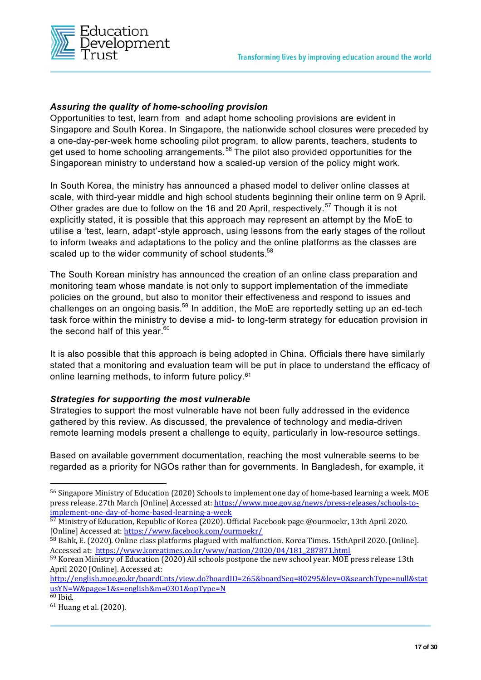

#### *Assuring the quality of home-schooling provision*

Opportunities to test, learn from and adapt home schooling provisions are evident in Singapore and South Korea. In Singapore, the nationwide school closures were preceded by a one-day-per-week home schooling pilot program, to allow parents, teachers, students to get used to home schooling arrangements.<sup>56</sup> The pilot also provided opportunities for the Singaporean ministry to understand how a scaled-up version of the policy might work.

In South Korea, the ministry has announced a phased model to deliver online classes at scale, with third-year middle and high school students beginning their online term on 9 April. Other grades are due to follow on the 16 and 20 April, respectively.<sup>57</sup> Though it is not explicitly stated, it is possible that this approach may represent an attempt by the MoE to utilise a 'test, learn, adapt'-style approach, using lessons from the early stages of the rollout to inform tweaks and adaptations to the policy and the online platforms as the classes are scaled up to the wider community of school students.<sup>58</sup>

The South Korean ministry has announced the creation of an online class preparation and monitoring team whose mandate is not only to support implementation of the immediate policies on the ground, but also to monitor their effectiveness and respond to issues and challenges on an ongoing basis.<sup>59</sup> In addition, the MoE are reportedly setting up an ed-tech task force within the ministry to devise a mid- to long-term strategy for education provision in the second half of this year.<sup>60</sup>

It is also possible that this approach is being adopted in China. Officials there have similarly stated that a monitoring and evaluation team will be put in place to understand the efficacy of online learning methods, to inform future policy.<sup>61</sup>

#### *Strategies for supporting the most vulnerable*

Strategies to support the most vulnerable have not been fully addressed in the evidence gathered by this review. As discussed, the prevalence of technology and media-driven remote learning models present a challenge to equity, particularly in low-resource settings.

Based on available government documentation, reaching the most vulnerable seems to be regarded as a priority for NGOs rather than for governments. In Bangladesh, for example, it

<sup>59</sup> Korean Ministry of Education (2020) All schools postpone the new school year. MOE press release 13th April 2020 [Online]. Accessed at:

<sup>56</sup> Singapore Ministry of Education (2020) Schools to implement one day of home-based learning a week. MOE press release. 27th March [Online] Accessed at: https://www.moe.gov.sg/news/press-releases/schools-toimplement-one-day-of-home-based-learning-a-week

<sup>&</sup>lt;sup>57</sup> Ministry of Education, Republic of Korea (2020). Official Facebook page @ourmoekr, 13th April 2020. [Online] Accessed at: https://www.facebook.com/ourmoekr/

<sup>58</sup> Bahk, E. (2020). Online class platforms plagued with malfunction. Korea Times. 15thApril 2020. [Online]. Accessed at: https://www.koreatimes.co.kr/www/nation/2020/04/181\_287871.html

http://english.moe.go.kr/boardCnts/view.do?boardID=265&boardSeq=80295&lev=0&searchType=null&stat usYN=W&page=1&s=english&m=0301&opType=N

 $60$  Ibid.

<sup>61</sup> Huang et al. (2020).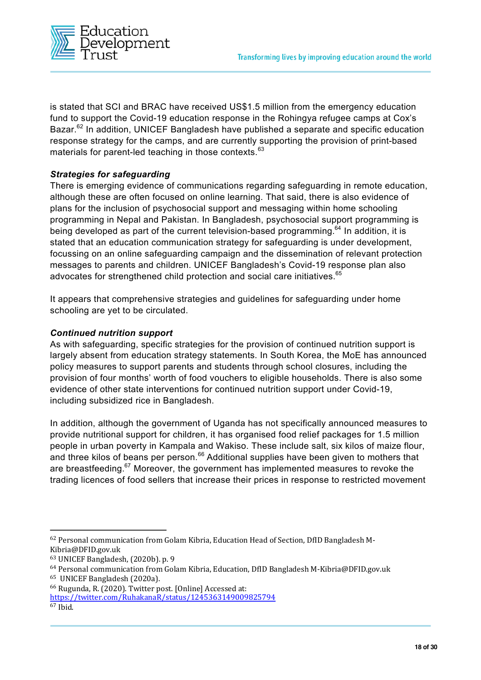

is stated that SCI and BRAC have received US\$1.5 million from the emergency education fund to support the Covid-19 education response in the Rohingya refugee camps at Cox's Bazar.<sup>62</sup> In addition, UNICEF Bangladesh have published a separate and specific education response strategy for the camps, and are currently supporting the provision of print-based materials for parent-led teaching in those contexts.<sup>63</sup>

#### *Strategies for safeguarding*

There is emerging evidence of communications regarding safeguarding in remote education, although these are often focused on online learning. That said, there is also evidence of plans for the inclusion of psychosocial support and messaging within home schooling programming in Nepal and Pakistan. In Bangladesh, psychosocial support programming is being developed as part of the current television-based programming.<sup>64</sup> In addition, it is stated that an education communication strategy for safeguarding is under development, focussing on an online safeguarding campaign and the dissemination of relevant protection messages to parents and children. UNICEF Bangladesh's Covid-19 response plan also advocates for strengthened child protection and social care initiatives.<sup>65</sup>

It appears that comprehensive strategies and guidelines for safeguarding under home schooling are yet to be circulated.

#### *Continued nutrition support*

As with safeguarding, specific strategies for the provision of continued nutrition support is largely absent from education strategy statements. In South Korea, the MoE has announced policy measures to support parents and students through school closures, including the provision of four months' worth of food vouchers to eligible households. There is also some evidence of other state interventions for continued nutrition support under Covid-19, including subsidized rice in Bangladesh.

In addition, although the government of Uganda has not specifically announced measures to provide nutritional support for children, it has organised food relief packages for 1.5 million people in urban poverty in Kampala and Wakiso. These include salt, six kilos of maize flour, and three kilos of beans per person.<sup>66</sup> Additional supplies have been given to mothers that are breastfeeding.<sup>67</sup> Moreover, the government has implemented measures to revoke the trading licences of food sellers that increase their prices in response to restricted movement

<sup>62</sup> Personal communication from Golam Kibria, Education Head of Section, DfID Bangladesh M-Kibria@DFID.gov.uk

<sup>63</sup> UNICEF Bangladesh, (2020b). p. 9

<sup>64</sup> Personal communication from Golam Kibria, Education, DfID Bangladesh M-Kibria@DFID.gov.uk

<sup>65</sup> UNICEF Bangladesh (2020a).

<sup>66</sup> Rugunda, R. (2020). Twitter post. [Online] Accessed at:

https://twitter.com/RuhakanaR/status/1245363149009825794

<sup>67</sup> Ibid.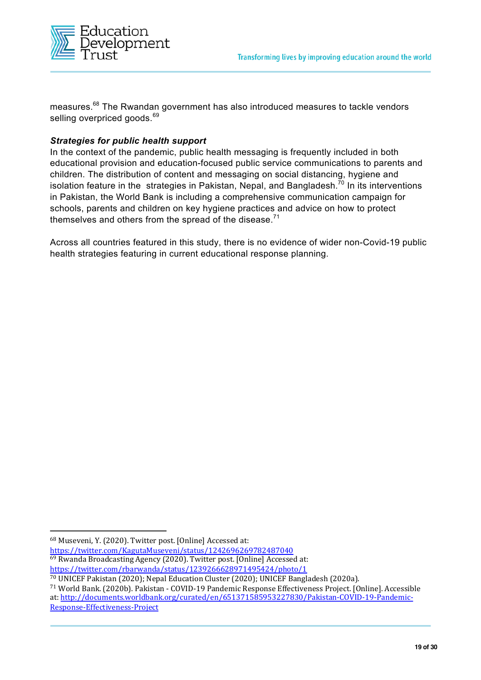

measures.<sup>68</sup> The Rwandan government has also introduced measures to tackle vendors selling overpriced goods.<sup>69</sup>

#### *Strategies for public health support*

In the context of the pandemic, public health messaging is frequently included in both educational provision and education-focused public service communications to parents and children. The distribution of content and messaging on social distancing, hygiene and isolation feature in the strategies in Pakistan, Nepal, and Bangladesh.<sup>70</sup> In its interventions in Pakistan, the World Bank is including a comprehensive communication campaign for schools, parents and children on key hygiene practices and advice on how to protect themselves and others from the spread of the disease.<sup>71</sup>

Across all countries featured in this study, there is no evidence of wider non-Covid-19 public health strategies featuring in current educational response planning.

<sup>68</sup> Museveni, Y. (2020). Twitter post. [Online] Accessed at:

https://twitter.com/KagutaMuseveni/status/1242696269782487040 <sup>69</sup> Rwanda Broadcasting Agency (2020). Twitter post. [Online] Accessed at:

https://twitter.com/rbarwanda/status/1239266628971495424/photo/1

<sup>70</sup> UNICEF Pakistan (2020); Nepal Education Cluster (2020); UNICEF Bangladesh (2020a).

<sup>71</sup> World Bank. (2020b). Pakistan - COVID-19 Pandemic Response Effectiveness Project. [Online]. Accessible at: http://documents.worldbank.org/curated/en/651371585953227830/Pakistan-COVID-19-Pandemic-Response-Effectiveness-Project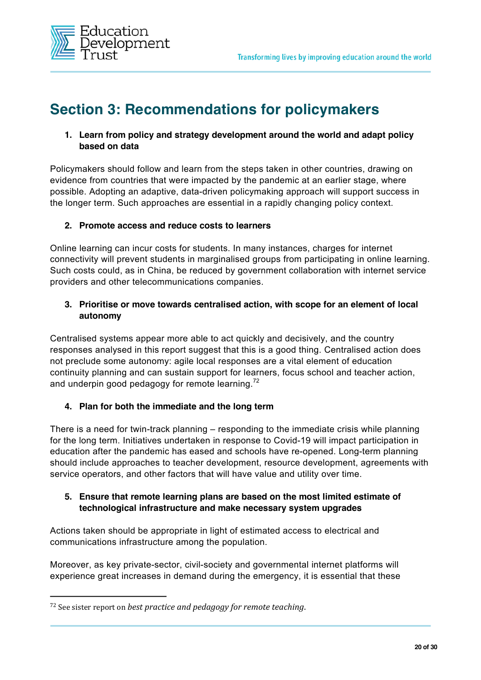

## **Section 3: Recommendations for policymakers**

#### **1. Learn from policy and strategy development around the world and adapt policy based on data**

Policymakers should follow and learn from the steps taken in other countries, drawing on evidence from countries that were impacted by the pandemic at an earlier stage, where possible. Adopting an adaptive, data-driven policymaking approach will support success in the longer term. Such approaches are essential in a rapidly changing policy context.

#### **2. Promote access and reduce costs to learners**

Online learning can incur costs for students. In many instances, charges for internet connectivity will prevent students in marginalised groups from participating in online learning. Such costs could, as in China, be reduced by government collaboration with internet service providers and other telecommunications companies.

#### **3. Prioritise or move towards centralised action, with scope for an element of local autonomy**

Centralised systems appear more able to act quickly and decisively, and the country responses analysed in this report suggest that this is a good thing. Centralised action does not preclude some autonomy: agile local responses are a vital element of education continuity planning and can sustain support for learners, focus school and teacher action, and underpin good pedagogy for remote learning.<sup>72</sup>

#### **4. Plan for both the immediate and the long term**

There is a need for twin-track planning – responding to the immediate crisis while planning for the long term. Initiatives undertaken in response to Covid-19 will impact participation in education after the pandemic has eased and schools have re-opened. Long-term planning should include approaches to teacher development, resource development, agreements with service operators, and other factors that will have value and utility over time.

#### **5. Ensure that remote learning plans are based on the most limited estimate of technological infrastructure and make necessary system upgrades**

Actions taken should be appropriate in light of estimated access to electrical and communications infrastructure among the population.

Moreover, as key private-sector, civil-society and governmental internet platforms will experience great increases in demand during the emergency, it is essential that these

<sup>&</sup>lt;sup>72</sup> See sister report on *best practice and pedagogy for remote teaching*.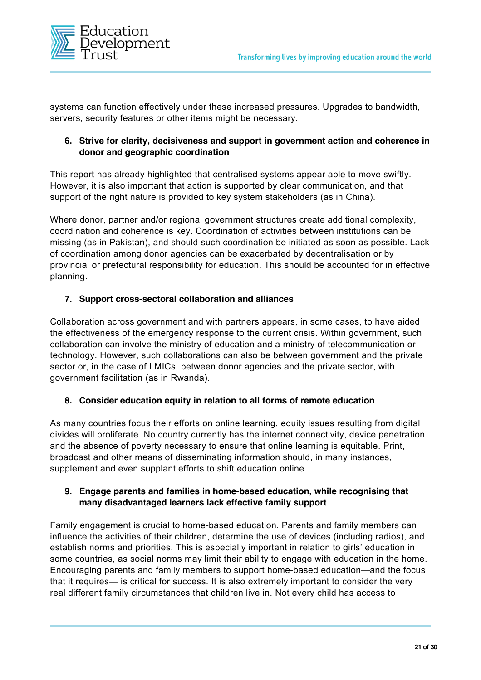

systems can function effectively under these increased pressures. Upgrades to bandwidth, servers, security features or other items might be necessary.

#### **6. Strive for clarity, decisiveness and support in government action and coherence in donor and geographic coordination**

This report has already highlighted that centralised systems appear able to move swiftly. However, it is also important that action is supported by clear communication, and that support of the right nature is provided to key system stakeholders (as in China).

Where donor, partner and/or regional government structures create additional complexity, coordination and coherence is key. Coordination of activities between institutions can be missing (as in Pakistan), and should such coordination be initiated as soon as possible. Lack of coordination among donor agencies can be exacerbated by decentralisation or by provincial or prefectural responsibility for education. This should be accounted for in effective planning.

#### **7. Support cross-sectoral collaboration and alliances**

Collaboration across government and with partners appears, in some cases, to have aided the effectiveness of the emergency response to the current crisis. Within government, such collaboration can involve the ministry of education and a ministry of telecommunication or technology. However, such collaborations can also be between government and the private sector or, in the case of LMICs, between donor agencies and the private sector, with government facilitation (as in Rwanda).

#### **8. Consider education equity in relation to all forms of remote education**

As many countries focus their efforts on online learning, equity issues resulting from digital divides will proliferate. No country currently has the internet connectivity, device penetration and the absence of poverty necessary to ensure that online learning is equitable. Print, broadcast and other means of disseminating information should, in many instances, supplement and even supplant efforts to shift education online.

#### **9. Engage parents and families in home-based education, while recognising that many disadvantaged learners lack effective family support**

Family engagement is crucial to home-based education. Parents and family members can influence the activities of their children, determine the use of devices (including radios), and establish norms and priorities. This is especially important in relation to girls' education in some countries, as social norms may limit their ability to engage with education in the home. Encouraging parents and family members to support home-based education—and the focus that it requires— is critical for success. It is also extremely important to consider the very real different family circumstances that children live in. Not every child has access to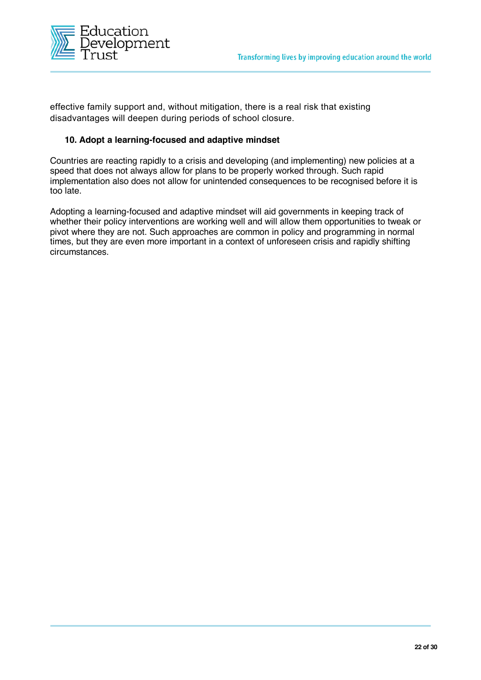

effective family support and, without mitigation, there is a real risk that existing disadvantages will deepen during periods of school closure.

#### **10. Adopt a learning-focused and adaptive mindset**

Countries are reacting rapidly to a crisis and developing (and implementing) new policies at a speed that does not always allow for plans to be properly worked through. Such rapid implementation also does not allow for unintended consequences to be recognised before it is too late.

Adopting a learning-focused and adaptive mindset will aid governments in keeping track of whether their policy interventions are working well and will allow them opportunities to tweak or pivot where they are not. Such approaches are common in policy and programming in normal times, but they are even more important in a context of unforeseen crisis and rapidly shifting circumstances.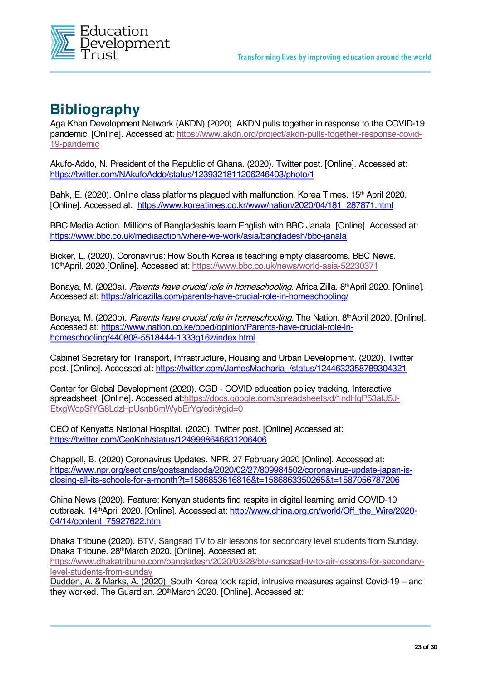

## **Bibliography**

Aga Khan Development Network (AKDN) (2020). AKDN pulls together in response to the COVID-19 pandemic. [Online]. Accessed at: https://www.akdn.org/project/akdn-pulls-together-response-covid-19-pandemic

Akufo-Addo, N. President of the Republic of Ghana. (2020). Twitter post. [Online]. Accessed at: https://twitter.com/NAkufoAddo/status/1239321811206246403/photo/1

Bahk, E. (2020). Online class platforms plagued with malfunction. Korea Times. 15<sup>th</sup> April 2020. [Online]. Accessed at: https://www.koreatimes.co.kr/www/nation/2020/04/181\_287871.html

BBC Media Action. Millions of Bangladeshis learn English with BBC Janala. [Online]. Accessed at: https://www.bbc.co.uk/mediaaction/where-we-work/asia/bangladesh/bbc-janala

Bicker, L. (2020). Coronavirus: How South Korea is teaching empty classrooms. BBC News. 10thApril. 2020.[Online]. Accessed at: https://www.bbc.co.uk/news/world-asia-52230371

Bonaya, M. (2020a). Parents have crucial role in homeschooling. Africa Zilla. 8th April 2020. [Online]. Accessed at: https://africazilla.com/parents-have-crucial-role-in-homeschooling/

Bonaya, M. (2020b). *Parents have crucial role in homeschooling*. The Nation, 8<sup>th</sup>April 2020, [Online]. Accessed at: https://www.nation.co.ke/oped/opinion/Parents-have-crucial-role-inhomeschooling/440808-5518444-1333g16z/index.html

Cabinet Secretary for Transport, Infrastructure, Housing and Urban Development. (2020). Twitter post. [Online]. Accessed at: https://twitter.com/JamesMacharia\_/status/1244632358789304321

Center for Global Development (2020). CGD - COVID education policy tracking. Interactive spreadsheet. [Online]. Accessed at:https://docs.google.com/spreadsheets/d/1ndHgP53atJ5J-EtxgWcpSfYG8LdzHpUsnb6mWybErYg/edit#gid=0

CEO of Kenyatta National Hospital. (2020). Twitter post. [Online] Accessed at: https://twitter.com/CeoKnh/status/1249998646831206406

Chappell, B. (2020) Coronavirus Updates. NPR. 27 February 2020 [Online]. Accessed at: https://www.npr.org/sections/goatsandsoda/2020/02/27/809984502/coronavirus-update-japan-isclosing-all-its-schools-for-a-month?t=1586853616816&t=1586863350265&t=1587056787206

China News (2020). Feature: Kenyan students find respite in digital learning amid COVID-19 outbreak. 14<sup>th</sup>April 2020. [Online]. Accessed at: http://www.china.org.cn/world/Off\_the\_Wire/2020-04/14/content\_75927622.htm

Dhaka Tribune (2020). BTV, Sangsad TV to air lessons for secondary level students from Sunday. Dhaka Tribune. 28thMarch 2020. [Online]. Accessed at: https://www.dhakatribune.com/bangladesh/2020/03/28/btv-sangsad-tv-to-air-lessons-for-secondarylevel-students-from-sunday

Dudden, A. & Marks, A. (2020). South Korea took rapid, intrusive measures against Covid-19 – and they worked. The Guardian. 20thMarch 2020. [Online]. Accessed at: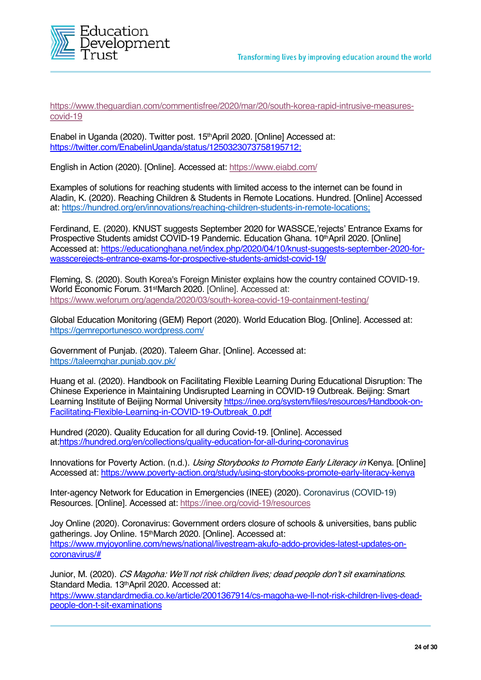

https://www.theguardian.com/commentisfree/2020/mar/20/south-korea-rapid-intrusive-measurescovid-19

Enabel in Uganda (2020). Twitter post. 15<sup>th</sup> April 2020. [Online] Accessed at: https://twitter.com/EnabelinUganda/status/1250323073758195712;

English in Action (2020). [Online]. Accessed at: https://www.eiabd.com/

Examples of solutions for reaching students with limited access to the internet can be found in Aladin, K. (2020). Reaching Children & Students in Remote Locations. Hundred. [Online] Accessed at: https://hundred.org/en/innovations/reaching-children-students-in-remote-locations;

Ferdinand, E. (2020). KNUST suggests September 2020 for WASSCE,'rejects' Entrance Exams for Prospective Students amidst COVID-19 Pandemic. Education Ghana. 10<sup>th</sup>April 2020. [Online] Accessed at: https://educationghana.net/index.php/2020/04/10/knust-suggests-september-2020-forwasscerejects-entrance-exams-for-prospective-students-amidst-covid-19/

Fleming, S. (2020). South Korea's Foreign Minister explains how the country contained COVID-19. World Economic Forum. 31stMarch 2020. [Online]. Accessed at: https://www.weforum.org/agenda/2020/03/south-korea-covid-19-containment-testing/

Global Education Monitoring (GEM) Report (2020). World Education Blog. [Online]. Accessed at: https://gemreportunesco.wordpress.com/

Government of Punjab. (2020). Taleem Ghar. [Online]. Accessed at: https://taleemghar.punjab.gov.pk/

Huang et al. (2020). Handbook on Facilitating Flexible Learning During Educational Disruption: The Chinese Experience in Maintaining Undisrupted Learning in COVID-19 Outbreak. Beijing: Smart Learning Institute of Beijing Normal University https://inee.org/system/files/resources/Handbook-on-Facilitating-Flexible-Learning-in-COVID-19-Outbreak\_0.pdf

Hundred (2020). Quality Education for all during Covid-19. [Online]. Accessed at:https://hundred.org/en/collections/quality-education-for-all-during-coronavirus

Innovations for Poverty Action. (n.d.). Using Storybooks to Promote Early Literacy in Kenya. [Online] Accessed at: https://www.poverty-action.org/study/using-storybooks-promote-early-literacy-kenya

Inter-agency Network for Education in Emergencies (INEE) (2020). Coronavirus (COVID-19) Resources. [Online]. Accessed at: https://inee.org/covid-19/resources

Joy Online (2020). Coronavirus: Government orders closure of schools & universities, bans public gatherings. Joy Online. 15<sup>th</sup>March 2020. [Online]. Accessed at: https://www.myjoyonline.com/news/national/livestream-akufo-addo-provides-latest-updates-oncoronavirus/#

Junior, M. (2020). CS Magoha: We'll not risk children lives; dead people don't sit examinations. Standard Media. 13<sup>th</sup>April 2020. Accessed at: https://www.standardmedia.co.ke/article/2001367914/cs-magoha-we-ll-not-risk-children-lives-deadpeople-don-t-sit-examinations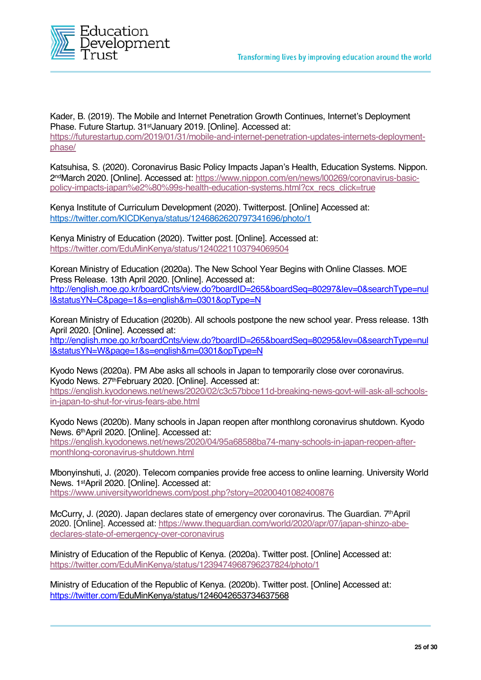

Kader, B. (2019). The Mobile and Internet Penetration Growth Continues, Internet's Deployment Phase. Future Startup. 31<sup>st</sup>January 2019. [Online]. Accessed at: https://futurestartup.com/2019/01/31/mobile-and-internet-penetration-updates-internets-deploymentphase/

Katsuhisa, S. (2020). Coronavirus Basic Policy Impacts Japan's Health, Education Systems. Nippon. 2ndMarch 2020. [Online]. Accessed at: https://www.nippon.com/en/news/l00269/coronavirus-basicpolicy-impacts-japan%e2%80%99s-health-education-systems.html?cx\_recs\_click=true

Kenya Institute of Curriculum Development (2020). Twitterpost. [Online] Accessed at: https://twitter.com/KICDKenya/status/1246862620797341696/photo/1

Kenya Ministry of Education (2020). Twitter post. [Online]. Accessed at: https://twitter.com/EduMinKenya/status/1240221103794069504

Korean Ministry of Education (2020a). The New School Year Begins with Online Classes. MOE Press Release. 13th April 2020. [Online]. Accessed at: http://english.moe.go.kr/boardCnts/view.do?boardID=265&boardSeq=80297&lev=0&searchType=nul l&statusYN=C&page=1&s=english&m=0301&opType=N

Korean Ministry of Education (2020b). All schools postpone the new school year. Press release. 13th April 2020. [Online]. Accessed at: http://english.moe.go.kr/boardCnts/view.do?boardID=265&boardSeq=80295&lev=0&searchType=nul l&statusYN=W&page=1&s=english&m=0301&opType=N

Kyodo News (2020a). PM Abe asks all schools in Japan to temporarily close over coronavirus. Kyodo News. 27thFebruary 2020. [Online]. Accessed at: https://english.kyodonews.net/news/2020/02/c3c57bbce11d-breaking-news-govt-will-ask-all-schoolsin-japan-to-shut-for-virus-fears-abe.html

Kyodo News (2020b). Many schools in Japan reopen after monthlong coronavirus shutdown. Kyodo News. 6thApril 2020. [Online]. Accessed at: https://english.kyodonews.net/news/2020/04/95a68588ba74-many-schools-in-japan-reopen-aftermonthlong-coronavirus-shutdown.html

Mbonyinshuti, J. (2020). Telecom companies provide free access to online learning. University World News. 1stApril 2020. [Online]. Accessed at: https://www.universityworldnews.com/post.php?story=20200401082400876

McCurry, J. (2020). Japan declares state of emergency over coronavirus. The Guardian. 7thApril 2020. [Online]. Accessed at: https://www.theguardian.com/world/2020/apr/07/japan-shinzo-abedeclares-state-of-emergency-over-coronavirus

Ministry of Education of the Republic of Kenya. (2020a). Twitter post. [Online] Accessed at: https://twitter.com/EduMinKenya/status/1239474968796237824/photo/1

Ministry of Education of the Republic of Kenya. (2020b). Twitter post. [Online] Accessed at: https://twitter.com/EduMinKenya/status/1246042653734637568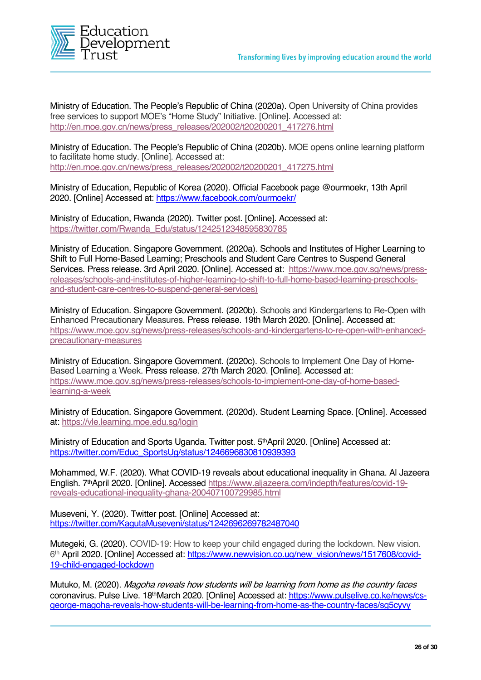

Ministry of Education. The People's Republic of China (2020a). Open University of China provides free services to support MOE's "Home Study" Initiative. [Online]. Accessed at: http://en.moe.gov.cn/news/press\_releases/202002/t20200201\_417276.html

Ministry of Education. The People's Republic of China (2020b). MOE opens online learning platform to facilitate home study. [Online]. Accessed at: http://en.moe.gov.cn/news/press\_releases/202002/t20200201\_417275.html

Ministry of Education, Republic of Korea (2020). Official Facebook page @ourmoekr, 13th April 2020. [Online] Accessed at: https://www.facebook.com/ourmoekr/

Ministry of Education, Rwanda (2020). Twitter post. [Online]. Accessed at: https://twitter.com/Rwanda\_Edu/status/1242512348595830785

Ministry of Education. Singapore Government. (2020a). Schools and Institutes of Higher Learning to Shift to Full Home-Based Learning; Preschools and Student Care Centres to Suspend General Services. Press release. 3rd April 2020. [Online]. Accessed at: https://www.moe.gov.sg/news/pressreleases/schools-and-institutes-of-higher-learning-to-shift-to-full-home-based-learning-preschoolsand-student-care-centres-to-suspend-general-services)

Ministry of Education. Singapore Government. (2020b). Schools and Kindergartens to Re-Open with Enhanced Precautionary Measures. Press release. 19th March 2020. [Online]. Accessed at: https://www.moe.gov.sg/news/press-releases/schools-and-kindergartens-to-re-open-with-enhancedprecautionary-measures

Ministry of Education. Singapore Government. (2020c). Schools to Implement One Day of Home-Based Learning a Week. Press release. 27th March 2020. [Online]. Accessed at: https://www.moe.gov.sg/news/press-releases/schools-to-implement-one-day-of-home-basedlearning-a-week

Ministry of Education. Singapore Government. (2020d). Student Learning Space. [Online]. Accessed at: https://vle.learning.moe.edu.sg/login

Ministry of Education and Sports Uganda. Twitter post. 5<sup>th</sup>April 2020. [Online] Accessed at: https://twitter.com/Educ\_SportsUg/status/1246696830810939393

Mohammed, W.F. (2020). What COVID-19 reveals about educational inequality in Ghana. Al Jazeera English. 7thApril 2020. [Online]. Accessed https://www.aljazeera.com/indepth/features/covid-19 reveals-educational-inequality-ghana-200407100729985.html

Museveni, Y. (2020). Twitter post. [Online] Accessed at: https://twitter.com/KagutaMuseveni/status/1242696269782487040

Mutegeki, G. (2020). COVID-19: How to keep your child engaged during the lockdown. New vision. 6th April 2020. [Online] Accessed at: https://www.newvision.co.ug/new\_vision/news/1517608/covid-19-child-engaged-lockdown

Mutuko, M. (2020). Magoha reveals how students will be learning from home as the country faces coronavirus. Pulse Live. 18thMarch 2020. [Online] Accessed at: https://www.pulselive.co.ke/news/csgeorge-magoha-reveals-how-students-will-be-learning-from-home-as-the-country-faces/sg5cyvy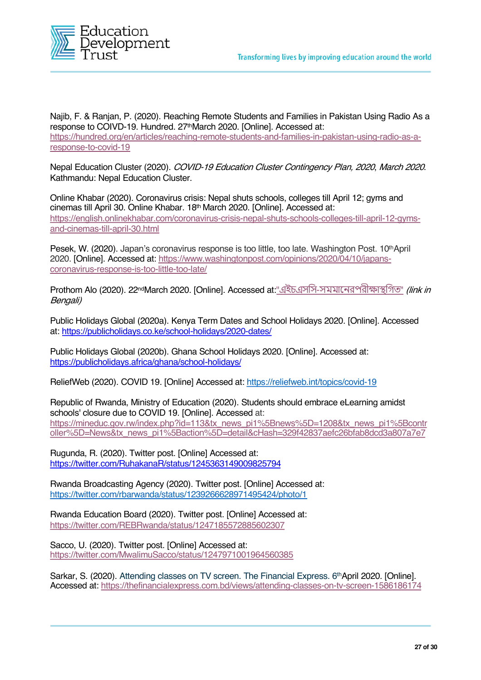

Najib, F. & Ranjan, P. (2020). Reaching Remote Students and Families in Pakistan Using Radio As a response to COIVD-19. Hundred. 27<sup>th</sup>March 2020. [Online]. Accessed at: https://hundred.org/en/articles/reaching-remote-students-and-families-in-pakistan-using-radio-as-aresponse-to-covid-19

Nepal Education Cluster (2020). COVID-19 Education Cluster Contingency Plan, 2020, March 2020. Kathmandu: Nepal Education Cluster.

Online Khabar (2020). Coronavirus crisis: Nepal shuts schools, colleges till April 12; gyms and cinemas till April 30. Online Khabar. 18th March 2020. [Online]. Accessed at: https://english.onlinekhabar.com/coronavirus-crisis-nepal-shuts-schools-colleges-till-april-12-gymsand-cinemas-till-april-30.html

Pesek, W. (2020). Japan's coronavirus response is too little, too late. Washington Post. 10<sup>th</sup>April 2020. [Online]. Accessed at: https://www.washingtonpost.com/opinions/2020/04/10/japanscoronavirus-response-is-too-little-too-late/

Prothom Alo (2020). 22<sup>nd</sup>March 2020. [Online]. Accessed at:"এইচএসসি-সমমানেরপরীক্ষাস্থগিত" (link in Bengali)

Public Holidays Global (2020a). Kenya Term Dates and School Holidays 2020. [Online]. Accessed at: https://publicholidays.co.ke/school-holidays/2020-dates/

Public Holidays Global (2020b). Ghana School Holidays 2020. [Online]. Accessed at: https://publicholidays.africa/ghana/school-holidays/

ReliefWeb (2020). COVID 19. [Online] Accessed at: https://reliefweb.int/topics/covid-19

Republic of Rwanda, Ministry of Education (2020). Students should embrace eLearning amidst schools' closure due to COVID 19. [Online]. Accessed at: https://mineduc.gov.rw/index.php?id=113&tx\_news\_pi1%5Bnews%5D=1208&tx\_news\_pi1%5Bcontr oller%5D=News&tx\_news\_pi1%5Baction%5D=detail&cHash=329f42837aefc26bfab8dcd3a807a7e7

Rugunda, R. (2020). Twitter post. [Online] Accessed at: https://twitter.com/RuhakanaR/status/1245363149009825794

Rwanda Broadcasting Agency (2020). Twitter post. [Online] Accessed at: https://twitter.com/rbarwanda/status/1239266628971495424/photo/1

Rwanda Education Board (2020). Twitter post. [Online] Accessed at: https://twitter.com/REBRwanda/status/1247185572885602307

Sacco, U. (2020). Twitter post. [Online] Accessed at: https://twitter.com/MwalimuSacco/status/1247971001964560385

Sarkar, S. (2020). Attending classes on TV screen. The Financial Express. 6<sup>th</sup>April 2020. [Online]. Accessed at: https://thefinancialexpress.com.bd/views/attending-classes-on-tv-screen-1586186174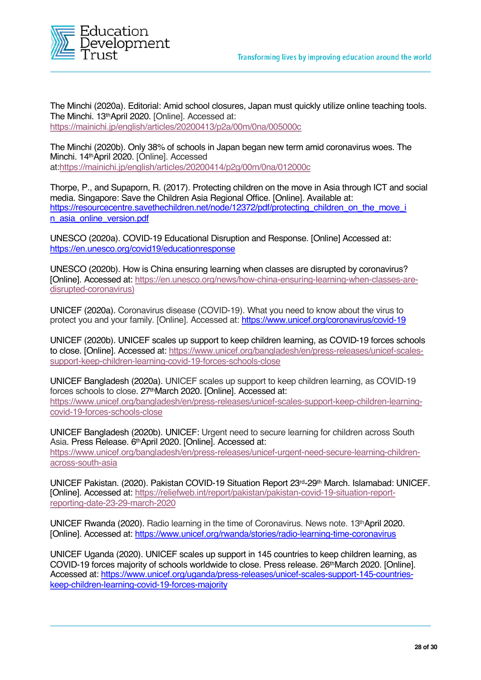

The Minchi (2020a). Editorial: Amid school closures, Japan must quickly utilize online teaching tools. The Minchi. 13th April 2020. [Online]. Accessed at: https://mainichi.jp/english/articles/20200413/p2a/00m/0na/005000c

The Minchi (2020b). Only 38% of schools in Japan began new term amid coronavirus woes. The Minchi. 14thApril 2020. [Online]. Accessed at:https://mainichi.jp/english/articles/20200414/p2g/00m/0na/012000c

Thorpe, P., and Supaporn, R. (2017). Protecting children on the move in Asia through ICT and social media. Singapore: Save the Children Asia Regional Office. [Online]. Available at: https://resourcecentre.savethechildren.net/node/12372/pdf/protecting\_children\_on\_the\_move\_i n\_asia\_online\_version.pdf

UNESCO (2020a). COVID-19 Educational Disruption and Response. [Online] Accessed at: https://en.unesco.org/covid19/educationresponse

UNESCO (2020b). How is China ensuring learning when classes are disrupted by coronavirus? [Online]. Accessed at: https://en.unesco.org/news/how-china-ensuring-learning-when-classes-aredisrupted-coronavirus)

UNICEF (2020a). Coronavirus disease (COVID-19). What you need to know about the virus to protect you and your family. [Online]. Accessed at: https://www.unicef.org/coronavirus/covid-19

UNICEF (2020b). UNICEF scales up support to keep children learning, as COVID-19 forces schools to close. [Online]. Accessed at: https://www.unicef.org/bangladesh/en/press-releases/unicef-scalessupport-keep-children-learning-covid-19-forces-schools-close

UNICEF Bangladesh (2020a). UNICEF scales up support to keep children learning, as COVID-19 forces schools to close. 27thMarch 2020. [Online]. Accessed at: https://www.unicef.org/bangladesh/en/press-releases/unicef-scales-support-keep-children-learningcovid-19-forces-schools-close

UNICEF Bangladesh (2020b). UNICEF: Urgent need to secure learning for children across South Asia. Press Release. 6th April 2020. [Online]. Accessed at: https://www.unicef.org/bangladesh/en/press-releases/unicef-urgent-need-secure-learning-childrenacross-south-asia

UNICEF Pakistan. (2020). Pakistan COVID-19 Situation Report 23rd-29th March. Islamabad: UNICEF. [Online]. Accessed at: https://reliefweb.int/report/pakistan/pakistan-covid-19-situation-reportreporting-date-23-29-march-2020

UNICEF Rwanda (2020). Radio learning in the time of Coronavirus. News note. 13<sup>th</sup>April 2020. [Online]. Accessed at: https://www.unicef.org/rwanda/stories/radio-learning-time-coronavirus

UNICEF Uganda (2020). UNICEF scales up support in 145 countries to keep children learning, as COVID-19 forces majority of schools worldwide to close. Press release. 26thMarch 2020. [Online]. Accessed at: https://www.unicef.org/uganda/press-releases/unicef-scales-support-145-countrieskeep-children-learning-covid-19-forces-majority